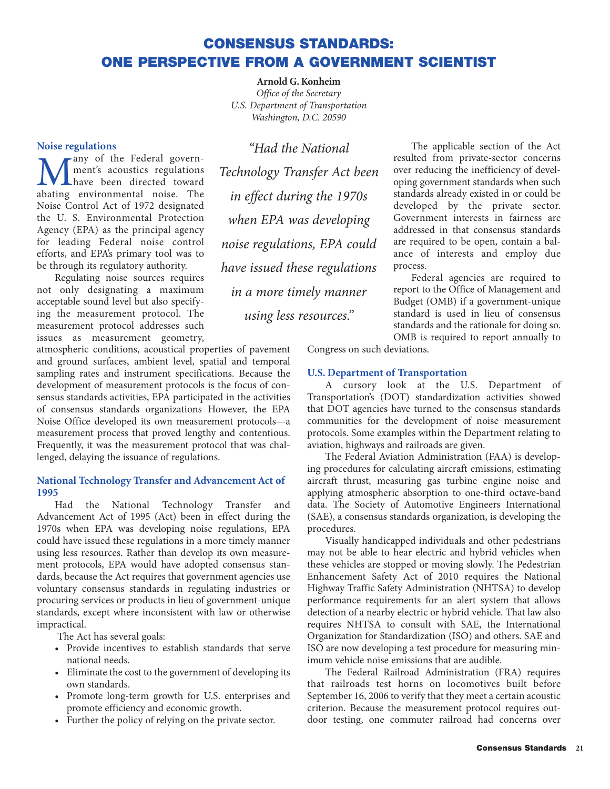## **CONSENSUS STANDARDS: ONE PERSPECTIVE FROM A GOVERNMENT SCIENTIST**

**Arnold G. Konheim** *Office of the Secretary U.S. Department of Transportation Washington, D.C. 20590*

## **Noise regulations**

**Many** of the Federal govern-<br>
have been directed toward<br>
abating environmental noise. The ment's acoustics regulations abating environmental noise. The Noise Control Act of 1972 designated the U. S. Environmental Protection Agency (EPA) as the principal agency for leading Federal noise control efforts, and EPA's primary tool was to be through its regulatory authority.

Regulating noise sources requires not only designating a maximum acceptable sound level but also specifying the measurement protocol. The measurement protocol addresses such issues as measurement geometry,

atmospheric conditions, acoustical properties of pavement and ground surfaces, ambient level, spatial and temporal sampling rates and instrument specifications. Because the development of measurement protocols is the focus of consensus standards activities, EPA participated in the activities of consensus standards organizations However, the EPA Noise Office developed its own measurement protocols—a measurement process that proved lengthy and contentious. Frequently, it was the measurement protocol that was challenged, delaying the issuance of regulations.

## **National Technology Transfer and Advancement Act of 1995**

Had the National Technology Transfer and Advancement Act of 1995 (Act) been in effect during the 1970s when EPA was developing noise regulations, EPA could have issued these regulations in a more timely manner using less resources. Rather than develop its own measurement protocols, EPA would have adopted consensus standards, because the Act requires that government agencies use voluntary consensus standards in regulating industries or procuring services or products in lieu of government-unique standards, except where inconsistent with law or otherwise impractical.

The Act has several goals:

- Provide incentives to establish standards that serve national needs.
- Eliminate the cost to the government of developing its own standards.
- Promote long-term growth for U.S. enterprises and promote efficiency and economic growth.
- Further the policy of relying on the private sector.

*"Had the National Technology Transfer Act been in effect during the 1970s when EPA was developing noise regulations, EPA could have issued these regulations in a more timely manner using less resources."*

The applicable section of the Act resulted from private-sector concerns over reducing the inefficiency of developing government standards when such standards already existed in or could be developed by the private sector. Government interests in fairness are addressed in that consensus standards are required to be open, contain a balance of interests and employ due process.

Federal agencies are required to report to the Office of Management and Budget (OMB) if a government-unique standard is used in lieu of consensus standards and the rationale for doing so. OMB is required to report annually to

Congress on such deviations.

## **U.S. Department of Transportation**

A cursory look at the U.S. Department of Transportation's (DOT) standardization activities showed that DOT agencies have turned to the consensus standards communities for the development of noise measurement protocols. Some examples within the Department relating to aviation, highways and railroads are given.

The Federal Aviation Administration (FAA) is developing procedures for calculating aircraft emissions, estimating aircraft thrust, measuring gas turbine engine noise and applying atmospheric absorption to one-third octave-band data. The Society of Automotive Engineers International (SAE), a consensus standards organization, is developing the procedures.

Visually handicapped individuals and other pedestrians may not be able to hear electric and hybrid vehicles when these vehicles are stopped or moving slowly. The Pedestrian Enhancement Safety Act of 2010 requires the National Highway Traffic Safety Administration (NHTSA) to develop performance requirements for an alert system that allows detection of a nearby electric or hybrid vehicle. That law also requires NHTSA to consult with SAE, the International Organization for Standardization (ISO) and others. SAE and ISO are now developing a test procedure for measuring minimum vehicle noise emissions that are audible.

The Federal Railroad Administration (FRA) requires that railroads test horns on locomotives built before September 16, 2006 to verify that they meet a certain acoustic criterion. Because the measurement protocol requires outdoor testing, one commuter railroad had concerns over